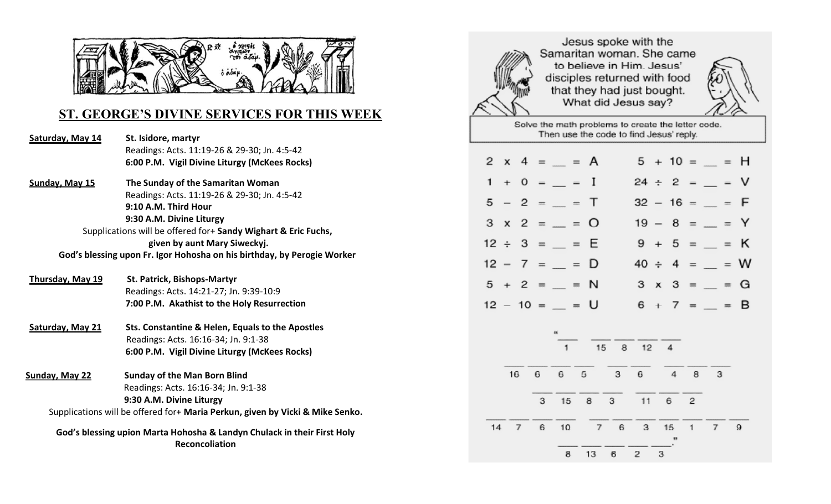

# **ST. GEORGE'S DIVINE SERVICES FOR THIS WEEK**

| Saturday, May 14                                                                                 | St. Isidore, martyr                                                           |  |  |  |  |  |  |  |
|--------------------------------------------------------------------------------------------------|-------------------------------------------------------------------------------|--|--|--|--|--|--|--|
|                                                                                                  | Readings: Acts. 11:19-26 & 29-30; Jn. 4:5-42                                  |  |  |  |  |  |  |  |
|                                                                                                  | 6:00 P.M. Vigil Divine Liturgy (McKees Rocks)                                 |  |  |  |  |  |  |  |
| Sunday, May 15                                                                                   | The Sunday of the Samaritan Woman                                             |  |  |  |  |  |  |  |
|                                                                                                  | Readings: Acts. 11:19-26 & 29-30; Jn. 4:5-42                                  |  |  |  |  |  |  |  |
|                                                                                                  | 9:10 A.M. Third Hour                                                          |  |  |  |  |  |  |  |
|                                                                                                  | 9:30 A.M. Divine Liturgy                                                      |  |  |  |  |  |  |  |
| Supplications will be offered for+ Sandy Wighart & Eric Fuchs,                                   |                                                                               |  |  |  |  |  |  |  |
|                                                                                                  | given by aunt Mary Siweckyj.                                                  |  |  |  |  |  |  |  |
| God's blessing upon Fr. Igor Hohosha on his birthday, by Perogie Worker                          |                                                                               |  |  |  |  |  |  |  |
| <b>Thursday, May 19</b>                                                                          | <b>St. Patrick, Bishops-Martyr</b>                                            |  |  |  |  |  |  |  |
|                                                                                                  | Readings: Acts. 14:21-27; Jn. 9:39-10:9                                       |  |  |  |  |  |  |  |
|                                                                                                  | 7:00 P.M. Akathist to the Holy Resurrection                                   |  |  |  |  |  |  |  |
| Saturday, May 21                                                                                 | Sts. Constantine & Helen, Equals to the Apostles                              |  |  |  |  |  |  |  |
|                                                                                                  | Readings: Acts. 16:16-34; Jn. 9:1-38                                          |  |  |  |  |  |  |  |
|                                                                                                  | 6:00 P.M. Vigil Divine Liturgy (McKees Rocks)                                 |  |  |  |  |  |  |  |
| Sunday, May 22                                                                                   | <b>Sunday of the Man Born Blind</b>                                           |  |  |  |  |  |  |  |
|                                                                                                  | Readings: Acts. 16:16-34; Jn. 9:1-38                                          |  |  |  |  |  |  |  |
|                                                                                                  | 9:30 A.M. Divine Liturgy                                                      |  |  |  |  |  |  |  |
|                                                                                                  | Supplications will be offered for+ Maria Perkun, given by Vicki & Mike Senko. |  |  |  |  |  |  |  |
| God's blessing upion Marta Hohosha & Landyn Chulack in their First Holy<br><b>Reconcoliation</b> |                                                                               |  |  |  |  |  |  |  |



Jesus spoke with the Samaritan woman. She came to believe in Him. Jesus' disciples returned with food that they had just bought. What did Jesus say?



Solve the math problems to create the letter code. Then use the code to find Jesus' reply.

|    |  | $2 \times 4 = = 4$         |  |                          |   |  | $5 + 10 =$ = H         |  |
|----|--|----------------------------|--|--------------------------|---|--|------------------------|--|
|    |  | $1 + 0 =$ = $I$            |  |                          |   |  | $24 \div 2 =$ $=$ V    |  |
|    |  | $5 - 2 = -1$               |  |                          |   |  | $32 - 16 =$ = F        |  |
|    |  | $3 \times 2 =$ = 0         |  |                          |   |  | $19 - 8 =$ = $=$ Y     |  |
|    |  | $12 \div 3 =$ = $\equiv$ E |  |                          |   |  | $9 + 5 =$ = $=$ K      |  |
|    |  | $12 - 7 =$ = D             |  |                          |   |  | $40 \div 4 =$ = $= 0$  |  |
|    |  | $5 + 2 =$ = $N$            |  |                          |   |  | $3 \times 3 =$ = $=$ G |  |
|    |  | $12 - 10 =$ = U            |  |                          |   |  | $6 + 7 =$ = = B        |  |
|    |  | 46<br>1                    |  | 15 8 12 4                |   |  |                        |  |
| 16 |  |                            |  | 6 6 5 3 6 4              |   |  | 8 3                    |  |
|    |  |                            |  | 3 15 8 3 11 6 2          |   |  |                        |  |
|    |  |                            |  | 14 7 6 10 7 6 3 15 1 7 9 |   |  |                        |  |
|    |  | 8                          |  | $13 \t 6 \t 2$           | 3 |  |                        |  |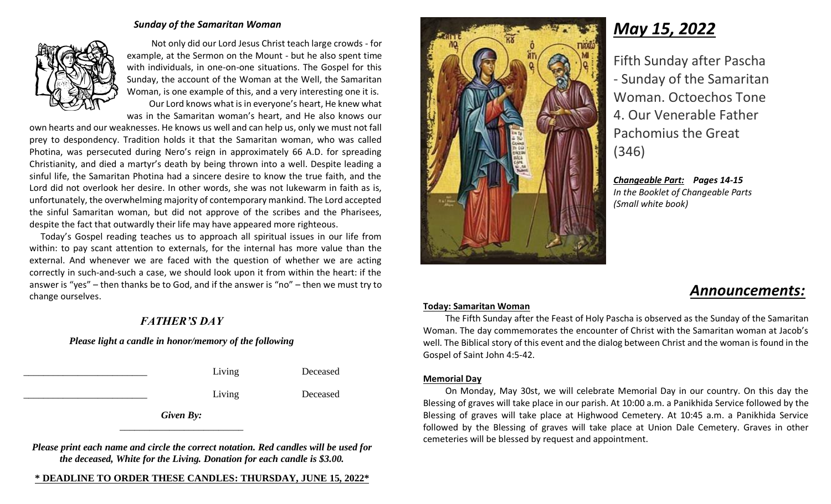#### *Sunday of the Samaritan Woman*



 Not only did our Lord Jesus Christ teach large crowds - for example, at the Sermon on the Mount - but he also spent time with individuals, in one-on-one situations. The Gospel for this Sunday, the account of the Woman at the Well, the Samaritan Woman, is one example of this, and a very interesting one it is. Our Lord knows what is in everyone's heart, He knew what was in the Samaritan woman's heart, and He also knows our

own hearts and our weaknesses. He knows us well and can help us, only we must not fall prey to despondency. Tradition holds it that the Samaritan woman, who was called Photina, was persecuted during Nero's reign in approximately 66 A.D. for spreading Christianity, and died a martyr's death by being thrown into a well. Despite leading a sinful life, the Samaritan Photina had a sincere desire to know the true faith, and the Lord did not overlook her desire. In other words, she was not lukewarm in faith as is, unfortunately, the overwhelming majority of contemporary mankind. The Lord accepted the sinful Samaritan woman, but did not approve of the scribes and the Pharisees, despite the fact that outwardly their life may have appeared more righteous.

 Today's Gospel reading teaches us to approach all spiritual issues in our life from within: to pay scant attention to externals, for the internal has more value than the external. And whenever we are faced with the question of whether we are acting correctly in such-and-such a case, we should look upon it from within the heart: if the answer is "yes" – then thanks be to God, and if the answer is "no" – then we must try to change ourselves.

## *FATHER'S DAY*

#### *Please light a candle in honor/memory of the following*

|           | Living | Deceased |  |  |  |  |  |
|-----------|--------|----------|--|--|--|--|--|
|           | Living | Deceased |  |  |  |  |  |
| Given By: |        |          |  |  |  |  |  |

*Please print each name and circle the correct notation. Red candles will be used for the deceased, White for the Living. Donation for each candle is \$3.00.*

#### **\* DEADLINE TO ORDER THESE CANDLES: THURSDAY, JUNE 15, 2022\***



# *May 15, 2022*

Fifth Sunday after Pascha - Sunday of the Samaritan Woman. Octoechos Tone 4. Our Venerable Father Pachomius the Great (346)

*Changeable Part: Pages 14-15 In the Booklet of Changeable Parts (Small white book)*

# *Announcements:*

#### **Today: Samaritan Woman**

The Fifth Sunday after the Feast of Holy Pascha is observed as the Sunday of the Samaritan Woman. The day commemorates the encounter of Christ with the Samaritan woman at Jacob's well. The Biblical story of this event and the dialog between Christ and the woman is found in the Gospel of Saint John 4:5-42.

#### **Memorial Day**

On Monday, May 30st, we will celebrate Memorial Day in our country. On this day the Blessing of graves will take place in our parish. At 10:00 a.m. a Panikhida Service followed by the Blessing of graves will take place at Highwood Cemetery. At 10:45 a.m. a Panikhida Service followed by the Blessing of graves will take place at Union Dale Cemetery. Graves in other cemeteries will be blessed by request and appointment.